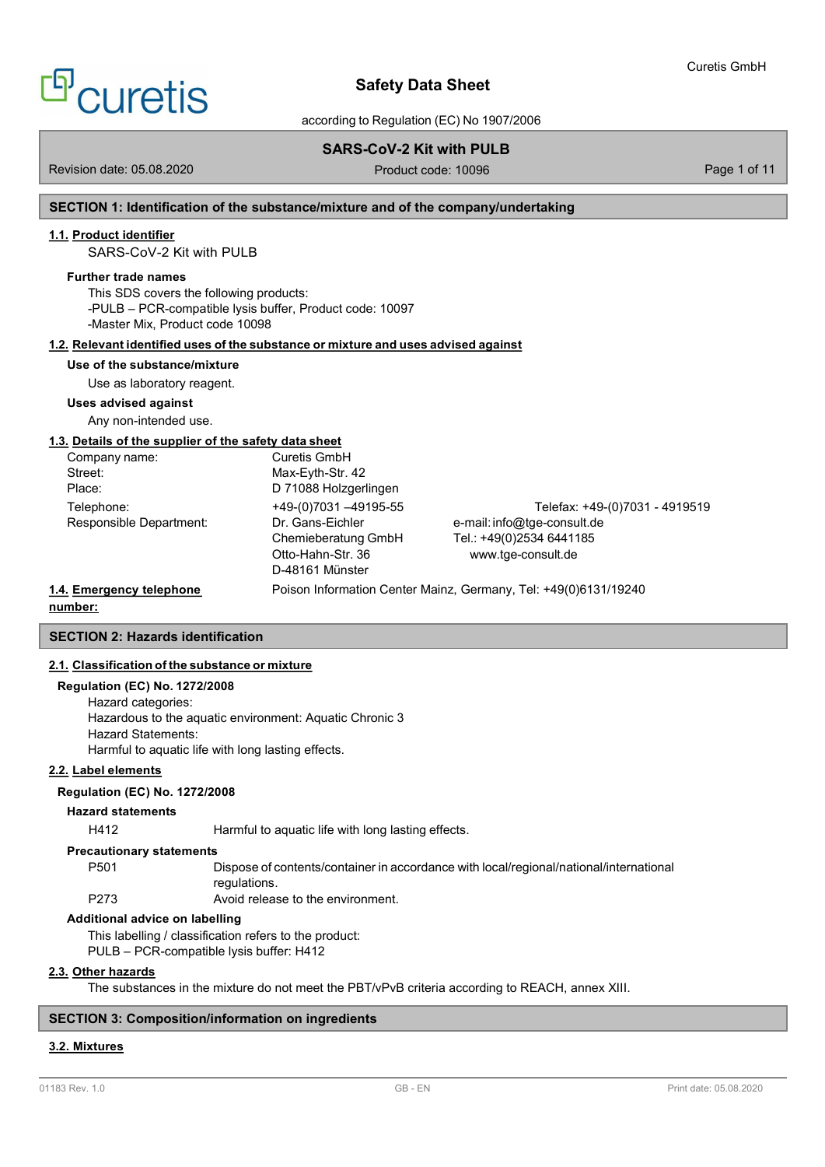# $^{\mathrm{P}}$ curetis

# Safety Data Sheet

according to Regulation (EC) No 1907/2006

# SARS-CoV-2 Kit with PULB

Revision date: 05.08.2020 **Product code: 10096** Page 1 of 11

# SECTION 1: Identification of the substance/mixture and of the company/undertaking

## 1.1. Product identifier

SARS-CoV-2 Kit with PULB

## Further trade names

This SDS covers the following products: -PULB – PCR-compatible lysis buffer, Product code: 10097 -Master Mix, Product code 10098

## 1.2. Relevant identified uses of the substance or mixture and uses advised against

### Use of the substance/mixture

Use as laboratory reagent.

### Uses advised against

Any non-intended use.

## 1.3. Details of the supplier of the safety data sheet

| Company name:            | Curetis GmbH          |                                                                 |
|--------------------------|-----------------------|-----------------------------------------------------------------|
| Street:                  | Max-Eyth-Str. 42      |                                                                 |
| Place:                   | D 71088 Holzgerlingen |                                                                 |
| Telephone:               | +49-(0)7031 -49195-55 | Telefax: +49-(0)7031 - 4919519                                  |
| Responsible Department:  | Dr. Gans-Eichler      | e-mail: info@tge-consult.de                                     |
|                          | Chemieberatung GmbH   | Tel.: +49(0)2534 6441185                                        |
|                          | Otto-Hahn-Str. 36     | www.tge-consult.de                                              |
|                          | D-48161 Münster       |                                                                 |
| 1.4. Emergency telephone |                       | Poison Information Center Mainz, Germany, Tel: +49(0)6131/19240 |

#### number:

# SECTION 2: Hazards identification

## 2.1. Classification of the substance or mixture

## Regulation (EC) No. 1272/2008

Hazard categories: Hazardous to the aquatic environment: Aquatic Chronic 3 Hazard Statements: Harmful to aquatic life with long lasting effects.

## 2.2. Label elements

## Regulation (EC) No. 1272/2008

## Hazard statements

H412 Harmful to aquatic life with long lasting effects.

#### Precautionary statements

P501 Dispose of contents/container in accordance with local/regional/national/international regulations.

P273 Avoid release to the environment.

## Additional advice on labelling

This labelling / classification refers to the product: PULB – PCR-compatible lysis buffer: H412

## 2.3. Other hazards

The substances in the mixture do not meet the PBT/vPvB criteria according to REACH, annex XIII.

## SECTION 3: Composition/information on ingredients

## 3.2. Mixtures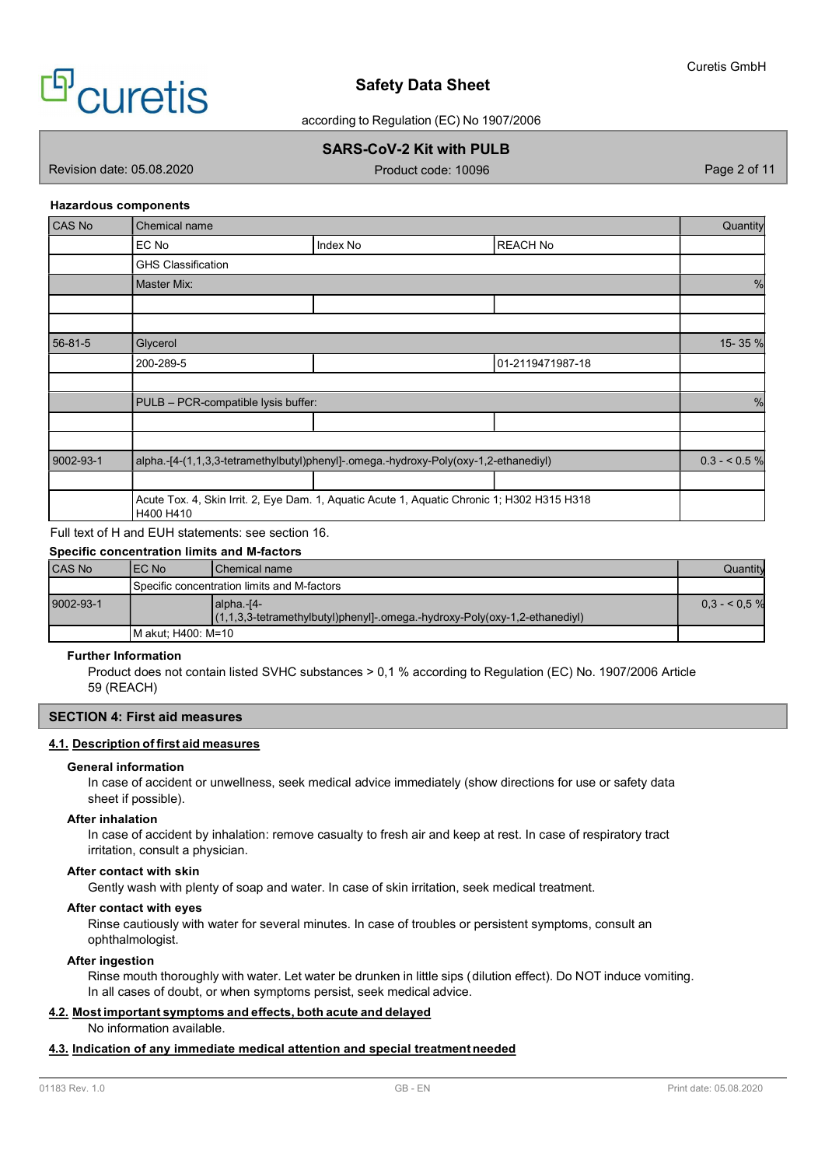

according to Regulation (EC) No 1907/2006

# SARS-CoV-2 Kit with PULB

Revision date: 05.08.2020 **Product code: 10096** Page 2 of 11

## Hazardous components

| CAS No    | Chemical name                       |                                                                                             |                  | <b>Quantity</b> |
|-----------|-------------------------------------|---------------------------------------------------------------------------------------------|------------------|-----------------|
|           | EC No                               | Index No                                                                                    | REACH No         |                 |
|           | <b>GHS Classification</b>           |                                                                                             |                  |                 |
|           | Master Mix:                         |                                                                                             |                  |                 |
|           |                                     |                                                                                             |                  |                 |
|           |                                     |                                                                                             |                  |                 |
| 56-81-5   | Glycerol                            |                                                                                             |                  | 15-35 %         |
|           | 200-289-5                           |                                                                                             | 01-2119471987-18 |                 |
|           |                                     |                                                                                             |                  |                 |
|           | PULB - PCR-compatible lysis buffer: |                                                                                             |                  |                 |
|           |                                     |                                                                                             |                  |                 |
|           |                                     |                                                                                             |                  |                 |
| 9002-93-1 |                                     | alpha.-[4-(1,1,3,3-tetramethylbutyl)phenyl]-.omega.-hydroxy-Poly(oxy-1,2-ethanediyl)        |                  | $0.3 - 5.5 \%$  |
|           |                                     |                                                                                             |                  |                 |
|           | H400 H410                           | Acute Tox. 4, Skin Irrit. 2, Eye Dam. 1, Aquatic Acute 1, Aquatic Chronic 1; H302 H315 H318 |                  |                 |

# Full text of H and EUH statements: see section 16.

## Specific concentration limits and M-factors

| <b>CAS No</b> | IEC No | <b>IChemical name</b>                                                                        | Quantitv       |  |  |  |
|---------------|--------|----------------------------------------------------------------------------------------------|----------------|--|--|--|
|               |        | l Specific concentration limits and M-factors_                                               |                |  |  |  |
| 9002-93-1     |        | lalpha.-[4-<br>$(1,1,3,3$ -tetramethylbutyl)phenyl]-.omega.-hydroxy-Poly(oxy-1,2-ethanediyl) | $0.3 - 5.5 \%$ |  |  |  |
|               |        | IM akut: H400: M=10                                                                          |                |  |  |  |

## Further Information

Product does not contain listed SVHC substances > 0,1 % according to Regulation (EC) No. 1907/2006 Article 59 (REACH)

## SECTION 4: First aid measures

## 4.1. Description of first aid measures

#### General information

In case of accident or unwellness, seek medical advice immediately (show directions for use or safety data sheet if possible).

# After inhalation

In case of accident by inhalation: remove casualty to fresh air and keep at rest. In case of respiratory tract irritation, consult a physician.

## After contact with skin

Gently wash with plenty of soap and water. In case of skin irritation, seek medical treatment.

## After contact with eyes

Rinse cautiously with water for several minutes. In case of troubles or persistent symptoms, consult an ophthalmologist.

## After ingestion

Rinse mouth thoroughly with water. Let water be drunken in little sips ( dilution effect). Do NOT induce vomiting. In all cases of doubt, or when symptoms persist, seek medical advice.

# 4.2. Most important symptoms and effects, both acute and delayed

No information available.

## 4.3. Indication of any immediate medical attention and special treatment needed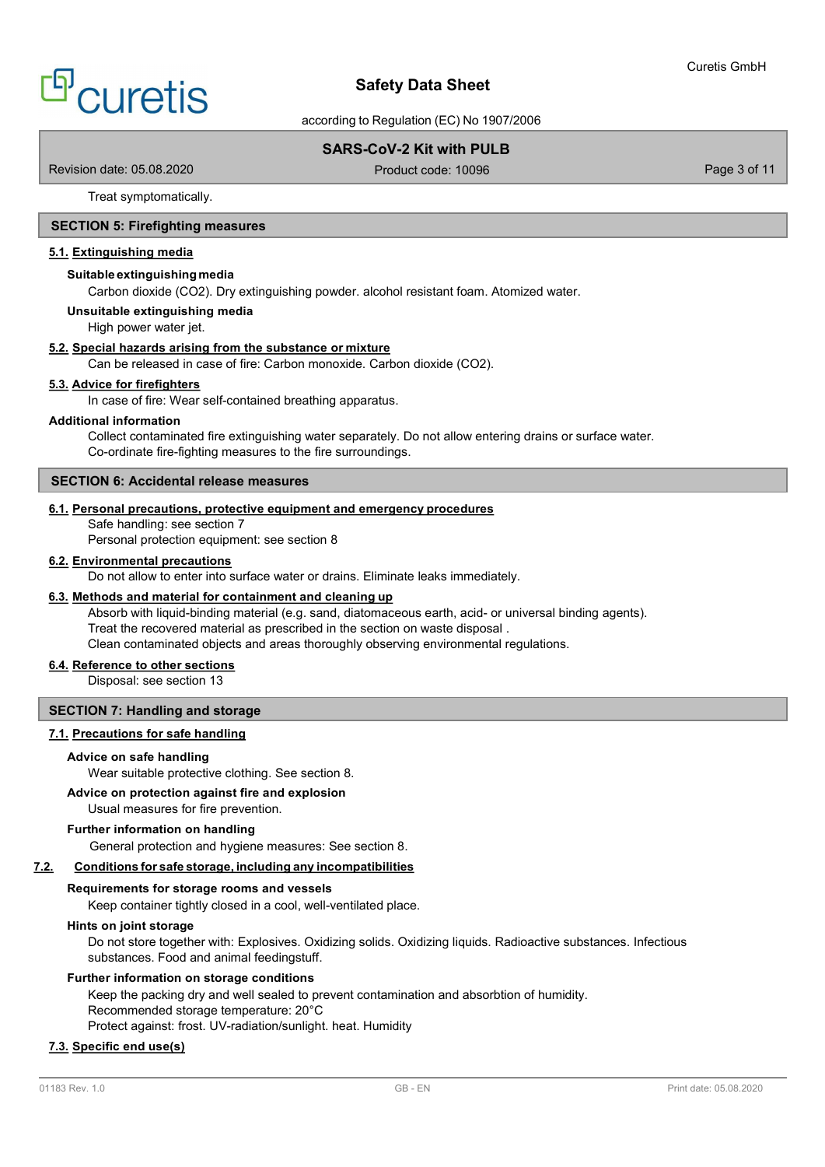according to Regulation (EC) No 1907/2006

# SARS-CoV-2 Kit with PULB

Revision date: 05.08.2020 Product code: 10096 Product code: 10096 Page 3 of 11

Treat symptomatically.

## SECTION 5: Firefighting measures

## 5.1. Extinguishing media

#### Suitable extinguishing media

Carbon dioxide (CO2). Dry extinguishing powder. alcohol resistant foam. Atomized water.

Unsuitable extinguishing media

High power water jet.

## 5.2. Special hazards arising from the substance or mixture

Can be released in case of fire: Carbon monoxide. Carbon dioxide (CO2).

## 5.3. Advice for firefighters

In case of fire: Wear self-contained breathing apparatus.

## Additional information

Collect contaminated fire extinguishing water separately. Do not allow entering drains or surface water. Co-ordinate fire-fighting measures to the fire surroundings.

#### SECTION 6: Accidental release measures

#### 6.1. Personal precautions, protective equipment and emergency procedures

Safe handling: see section 7

Personal protection equipment: see section 8

## 6.2. Environmental precautions

Do not allow to enter into surface water or drains. Eliminate leaks immediately.

## 6.3. Methods and material for containment and cleaning up

Absorb with liquid-binding material (e.g. sand, diatomaceous earth, acid- or universal binding agents). Treat the recovered material as prescribed in the section on waste disposal . Clean contaminated objects and areas thoroughly observing environmental regulations.

## 6.4. Reference to other sections

Disposal: see section 13

## SECTION 7: Handling and storage

## 7.1. Precautions for safe handling

#### Advice on safe handling

Wear suitable protective clothing. See section 8.

## Advice on protection against fire and explosion

Usual measures for fire prevention.

## Further information on handling

General protection and hygiene measures: See section 8.

### 7.2. Conditions for safe storage, including any incompatibilities

#### Requirements for storage rooms and vessels

Keep container tightly closed in a cool, well-ventilated place.

#### Hints on joint storage

Do not store together with: Explosives. Oxidizing solids. Oxidizing liquids. Radioactive substances. Infectious substances. Food and animal feedingstuff.

# Further information on storage conditions

Keep the packing dry and well sealed to prevent contamination and absorbtion of humidity. Recommended storage temperature: 20°C Protect against: frost. UV-radiation/sunlight. heat. Humidity

## 7.3. Specific end use(s)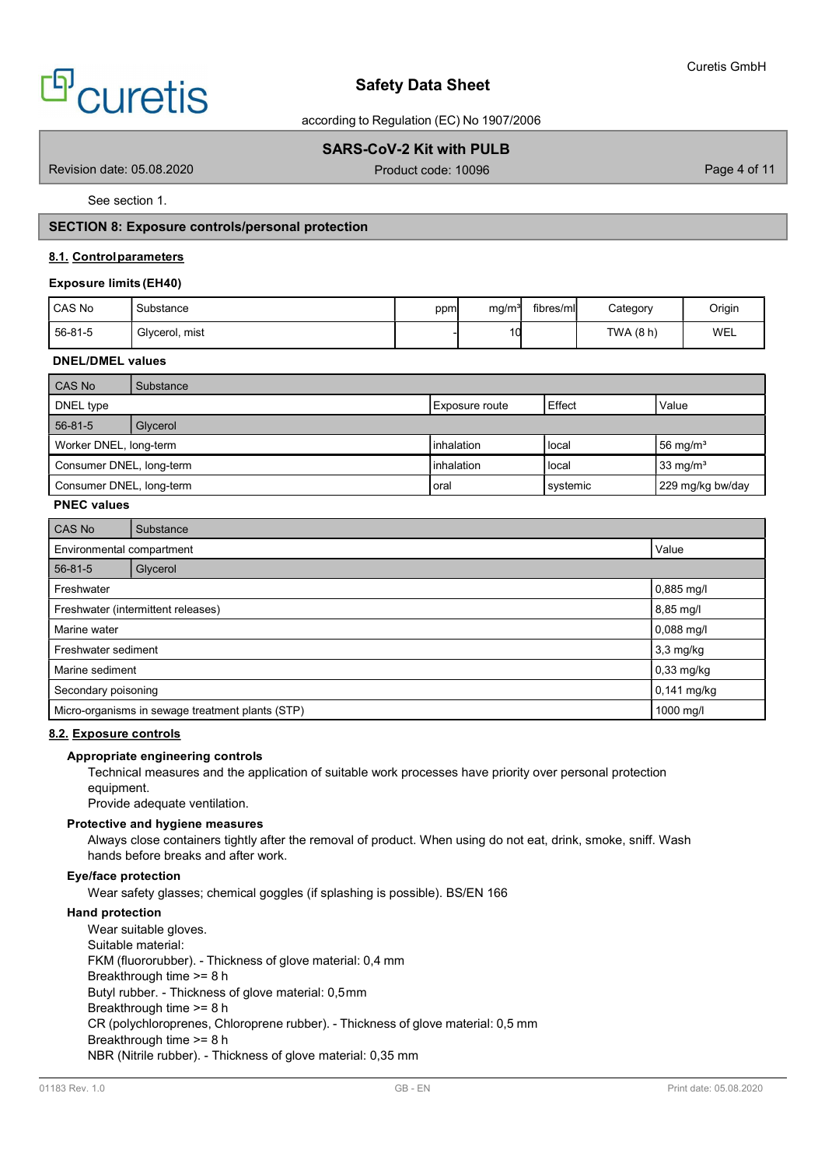

according to Regulation (EC) No 1907/2006

# SARS-CoV-2 Kit with PULB

Revision date: 05.08.2020 **Product code: 10096** Product code: 10096 Page 4 of 11

See section 1.

# SECTION 8: Exposure controls/personal protection

## 8.1. Control parameters

## Exposure limits (EH40)

| l CAS No | Substance      | ppm | ma/m <sup>3</sup> | fibres/ml | Category | Origin |
|----------|----------------|-----|-------------------|-----------|----------|--------|
| 56-81-5  | Givcerol, mist |     |                   |           | TWA(8h)  | WEL    |

## DNEL/DMEL values

| CAS No                   | Substance |                     |          |                      |
|--------------------------|-----------|---------------------|----------|----------------------|
| DNEL type                |           | Exposure route      | Effect   | Value                |
| 56-81-5                  | Glycerol  |                     |          |                      |
| Worker DNEL, long-term   |           | <b>l</b> inhalation | l local  | 56 mg/m <sup>3</sup> |
| Consumer DNEL, long-term |           | <b>l</b> inhalation | l local  | 33 mg/m <sup>3</sup> |
| Consumer DNEL, long-term |           | loral               | systemic | 229 mg/kg bw/day     |

## PNEC values

| CAS No                             | Substance                                        |           |  |  |  |
|------------------------------------|--------------------------------------------------|-----------|--|--|--|
| Value<br>Environmental compartment |                                                  |           |  |  |  |
| $56 - 81 - 5$                      | Glycerol                                         |           |  |  |  |
| Freshwater                         | $0,885$ mg/l                                     |           |  |  |  |
| Freshwater (intermittent releases) | 8,85 mg/l                                        |           |  |  |  |
| Marine water                       | $0,088$ mg/l                                     |           |  |  |  |
| Freshwater sediment                | $3,3$ mg/kg                                      |           |  |  |  |
| Marine sediment                    | $0,33$ mg/kg                                     |           |  |  |  |
| Secondary poisoning                | $0,141$ mg/kg                                    |           |  |  |  |
|                                    | Micro-organisms in sewage treatment plants (STP) | 1000 mg/l |  |  |  |

## 8.2. Exposure controls

#### Appropriate engineering controls

Technical measures and the application of suitable work processes have priority over personal protection equipment.

Provide adequate ventilation.

## Protective and hygiene measures

Always close containers tightly after the removal of product. When using do not eat, drink, smoke, sniff. Wash hands before breaks and after work.

## Eye/face protection

Wear safety glasses; chemical goggles (if splashing is possible). BS/EN 166

# Hand protection

Wear suitable gloves. Suitable material: FKM (fluororubber). - Thickness of glove material: 0,4 mm Breakthrough time >= 8 h Butyl rubber. - Thickness of glove material: 0,5 mm Breakthrough time >= 8 h CR (polychloroprenes, Chloroprene rubber). - Thickness of glove material: 0,5 mm Breakthrough time >= 8 h NBR (Nitrile rubber). - Thickness of glove material: 0,35 mm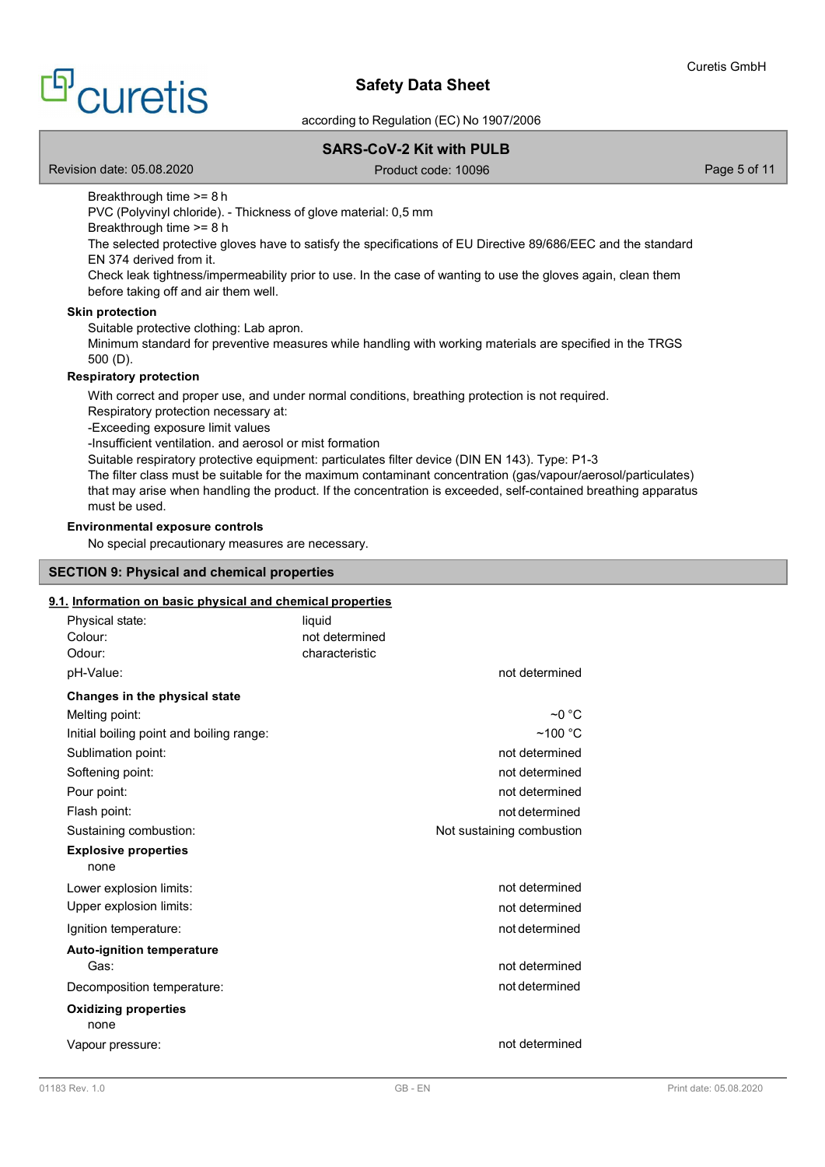according to Regulation (EC) No 1907/2006

# SARS-CoV-2 Kit with PULB

Revision date: 05.08.2020 **Page 5 of 11** Product code: 10096 **Page 5 of 11** Page 5 of 11

Breakthrough time >= 8 h

PVC (Polyvinyl chloride). - Thickness of glove material: 0,5 mm

Breakthrough time >= 8 h

The selected protective gloves have to satisfy the specifications of EU Directive 89/686/EEC and the standard EN 374 derived from it.

Check leak tightness/impermeability prior to use. In the case of wanting to use the gloves again, clean them before taking off and air them well.

## Skin protection

Suitable protective clothing: Lab apron.

Minimum standard for preventive measures while handling with working materials are specified in the TRGS 500 (D).

## Respiratory protection

With correct and proper use, and under normal conditions, breathing protection is not required.

Respiratory protection necessary at:

-Exceeding exposure limit values

-Insufficient ventilation. and aerosol or mist formation

Suitable respiratory protective equipment: particulates filter device (DIN EN 143). Type: P1-3

The filter class must be suitable for the maximum contaminant concentration (gas/vapour/aerosol/particulates) that may arise when handling the product. If the concentration is exceeded, self-contained breathing apparatus must be used.

# Environmental exposure controls

No special precautionary measures are necessary.

## SECTION 9: Physical and chemical properties

## 9.1. Information on basic physical and chemical properties

| Physical state:<br>Colour:<br>Odour:     | liquid<br>not determined<br>characteristic |                           |
|------------------------------------------|--------------------------------------------|---------------------------|
| pH-Value:                                |                                            | not determined            |
| Changes in the physical state            |                                            |                           |
| Melting point:                           |                                            | $~\sim$ 0 °C              |
| Initial boiling point and boiling range: |                                            | $~100$ °C                 |
| Sublimation point:                       |                                            | not determined            |
| Softening point:                         |                                            | not determined            |
| Pour point:                              |                                            | not determined            |
| Flash point:                             |                                            | not determined            |
| Sustaining combustion:                   |                                            | Not sustaining combustion |
| <b>Explosive properties</b><br>none      |                                            |                           |
| Lower explosion limits:                  |                                            | not determined            |
| Upper explosion limits:                  |                                            | not determined            |
| Ignition temperature:                    |                                            | not determined            |
| <b>Auto-ignition temperature</b><br>Gas: |                                            | not determined            |
| Decomposition temperature:               |                                            | not determined            |
| <b>Oxidizing properties</b><br>none      |                                            |                           |
| Vapour pressure:                         |                                            | not determined            |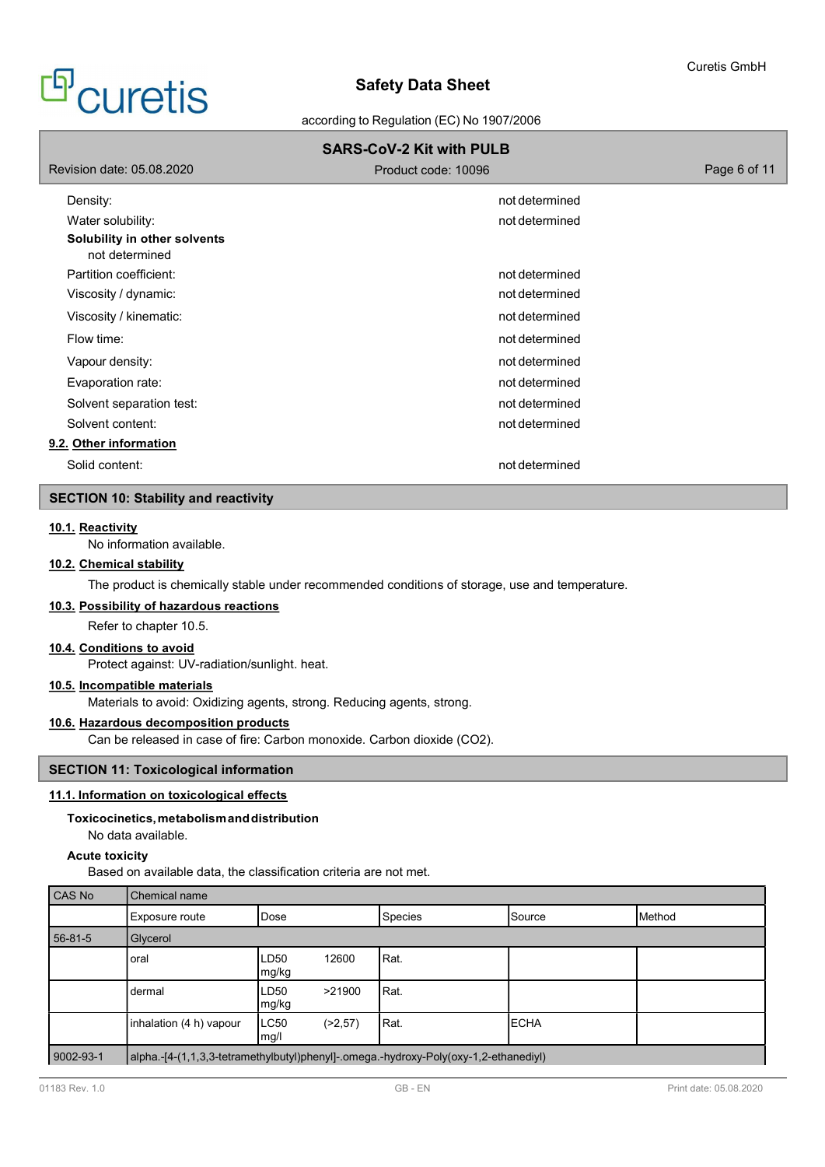# <sup>f</sup>ouretis

# Safety Data Sheet

according to Regulation (EC) No 1907/2006

|                                                | <b>SARS-CoV-2 Kit with PULB</b> |              |
|------------------------------------------------|---------------------------------|--------------|
| Revision date: 05.08.2020                      | Product code: 10096             | Page 6 of 11 |
| Density:                                       | not determined                  |              |
| Water solubility:                              | not determined                  |              |
| Solubility in other solvents<br>not determined |                                 |              |
| Partition coefficient:                         | not determined                  |              |
| Viscosity / dynamic:                           | not determined                  |              |
| Viscosity / kinematic:                         | not determined                  |              |
| Flow time:                                     | not determined                  |              |
| Vapour density:                                | not determined                  |              |
| Evaporation rate:                              | not determined                  |              |
| Solvent separation test:                       | not determined                  |              |
| Solvent content:                               | not determined                  |              |
| 9.2. Other information                         |                                 |              |
| Solid content:                                 | not determined                  |              |

# SECTION 10: Stability and reactivity

## 10.1. Reactivity

No information available.

## 10.2. Chemical stability

The product is chemically stable under recommended conditions of storage, use and temperature.

## 10.3. Possibility of hazardous reactions

Refer to chapter 10.5.

## 10.4. Conditions to avoid

Protect against: UV-radiation/sunlight. heat.

## 10.5. Incompatible materials

Materials to avoid: Oxidizing agents, strong. Reducing agents, strong.

# 10.6. Hazardous decomposition products

Can be released in case of fire: Carbon monoxide. Carbon dioxide (CO2).

# SECTION 11: Toxicological information

# 11.1. Information on toxicological effects

## Toxicocinetics, metabolism and distribution

No data available.

## Acute toxicity

Based on available data, the classification criteria are not met.

| l CAS No  | Chemical name           |                |          |                                                                                      |               |               |  |  |  |  |
|-----------|-------------------------|----------------|----------|--------------------------------------------------------------------------------------|---------------|---------------|--|--|--|--|
|           | Exposure route          | Dose           |          | <b>Species</b>                                                                       | <b>Source</b> | <b>Method</b> |  |  |  |  |
| 56-81-5   | Glycerol                |                |          |                                                                                      |               |               |  |  |  |  |
|           | oral                    | ILD50<br>mg/kg | 12600    | Rat.                                                                                 |               |               |  |  |  |  |
|           | dermal                  | LD50<br> mg/kg | >21900   | IRat.                                                                                |               |               |  |  |  |  |
|           | inhalation (4 h) vapour | LC50<br> mg/l  | (>2, 57) | Rat.                                                                                 | <b>ECHA</b>   |               |  |  |  |  |
| 9002-93-1 |                         |                |          | alpha.-[4-(1,1,3,3-tetramethylbutyl)phenyl]-.omega.-hydroxy-Poly(oxy-1,2-ethanediyl) |               |               |  |  |  |  |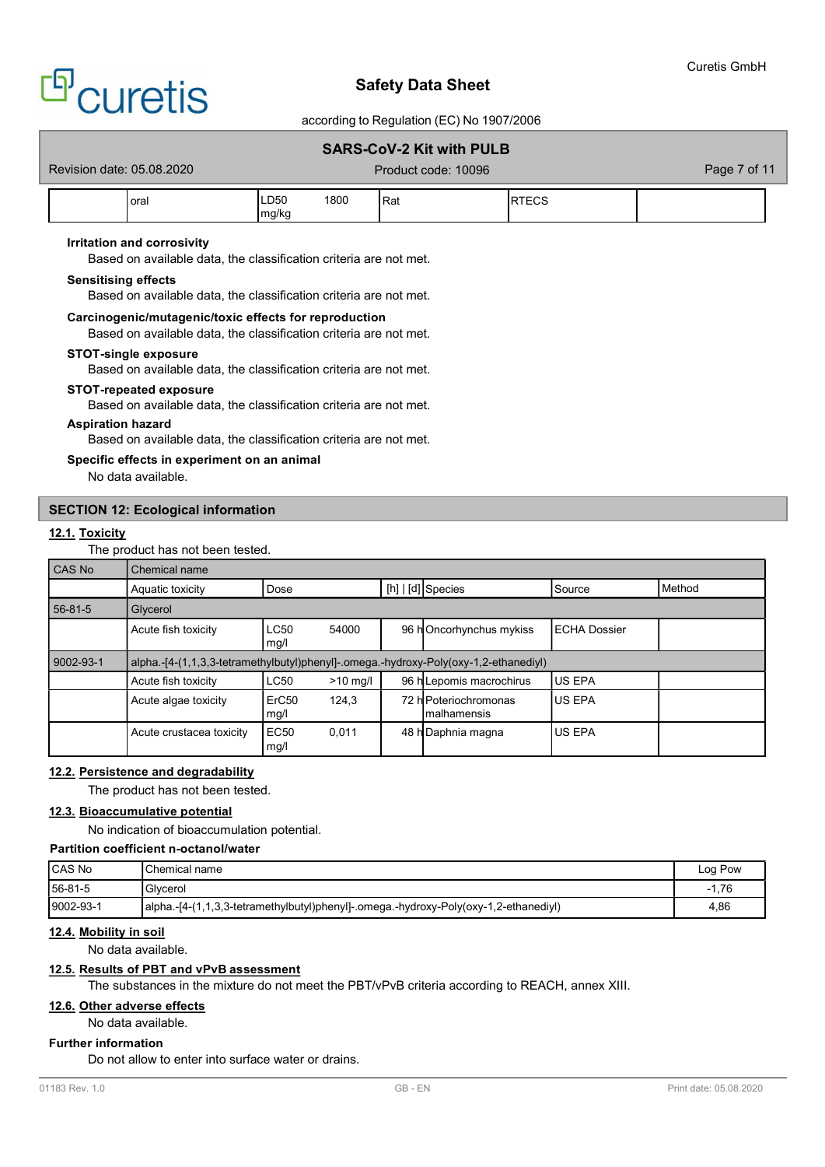

## according to Regulation (EC) No 1907/2006

# SARS-CoV-2 Kit with PULB

Revision date: 05.08.2020 **Product code: 10096** Page 7 of 11

| oral | LD50<br>max | $\sim$<br>ווי<br>ιουι | Rat |  |
|------|-------------|-----------------------|-----|--|

## Irritation and corrosivity

Based on available data, the classification criteria are not met.

## Sensitising effects

Based on available data, the classification criteria are not met.

## Carcinogenic/mutagenic/toxic effects for reproduction

Based on available data, the classification criteria are not met.

#### STOT-single exposure

Based on available data, the classification criteria are not met.

#### STOT-repeated exposure

Based on available data, the classification criteria are not met.

## Aspiration hazard

Based on available data, the classification criteria are not met.

## Specific effects in experiment on an animal

No data available.

## SECTION 12: Ecological information

## 12.1. Toxicity

The product has not been tested.

| CAS No    | Chemical name                                                                        |                                       |            |  |                                       |                      |                 |  |  |
|-----------|--------------------------------------------------------------------------------------|---------------------------------------|------------|--|---------------------------------------|----------------------|-----------------|--|--|
|           | Aquatic toxicity                                                                     | Dose                                  |            |  | $[h]   [d]$ Species                   | Source               | <b>I</b> Method |  |  |
| 56-81-5   | Glycerol                                                                             |                                       |            |  |                                       |                      |                 |  |  |
|           | Acute fish toxicity                                                                  | LC50<br>$\lfloor \text{mg/l} \rfloor$ | 54000      |  | 96 hOncorhynchus mykiss               | <b>IECHA Dossier</b> |                 |  |  |
| 9002-93-1 | alpha.-[4-(1,1,3,3-tetramethylbutyl)phenyl]-.omega.-hydroxy-Poly(oxy-1,2-ethanediyl) |                                       |            |  |                                       |                      |                 |  |  |
|           | Acute fish toxicity                                                                  | LC50                                  | $>10$ mg/l |  | 96 h Lepomis macrochirus              | <b>IUS EPA</b>       |                 |  |  |
|           | Acute algae toxicity                                                                 | ErC <sub>50</sub><br>$\lfloor$ mg/l   | 124.3      |  | 72 h Poteriochromonas<br>Imalhamensis | <b>IUS EPA</b>       |                 |  |  |
|           | Acute crustacea toxicity                                                             | EC <sub>50</sub><br>mg/l              | 0,011      |  | 48 h Daphnia magna                    | <b>US EPA</b>        |                 |  |  |

## 12.2. Persistence and degradability

The product has not been tested.

## 12.3. Bioaccumulative potential

No indication of bioaccumulation potential.

## Partition coefficient n-octanol/water

| <b>ICAS No</b> | Chemical name                                                                        | Log Pow                          |
|----------------|--------------------------------------------------------------------------------------|----------------------------------|
| 56-81-5        | Glycerol                                                                             | 1.76<br>$\overline{\phantom{a}}$ |
| 9002-93-1      | alpha.-[4-(1,1,3,3-tetramethylbutyl)phenyl]-.omega.-hydroxy-Poly(oxy-1,2-ethanediyl) | 4,86                             |

## 12.4. Mobility in soil

No data available.

## 12.5. Results of PBT and vPvB assessment

The substances in the mixture do not meet the PBT/vPvB criteria according to REACH, annex XIII.

## 12.6. Other adverse effects

No data available.

## Further information

Do not allow to enter into surface water or drains.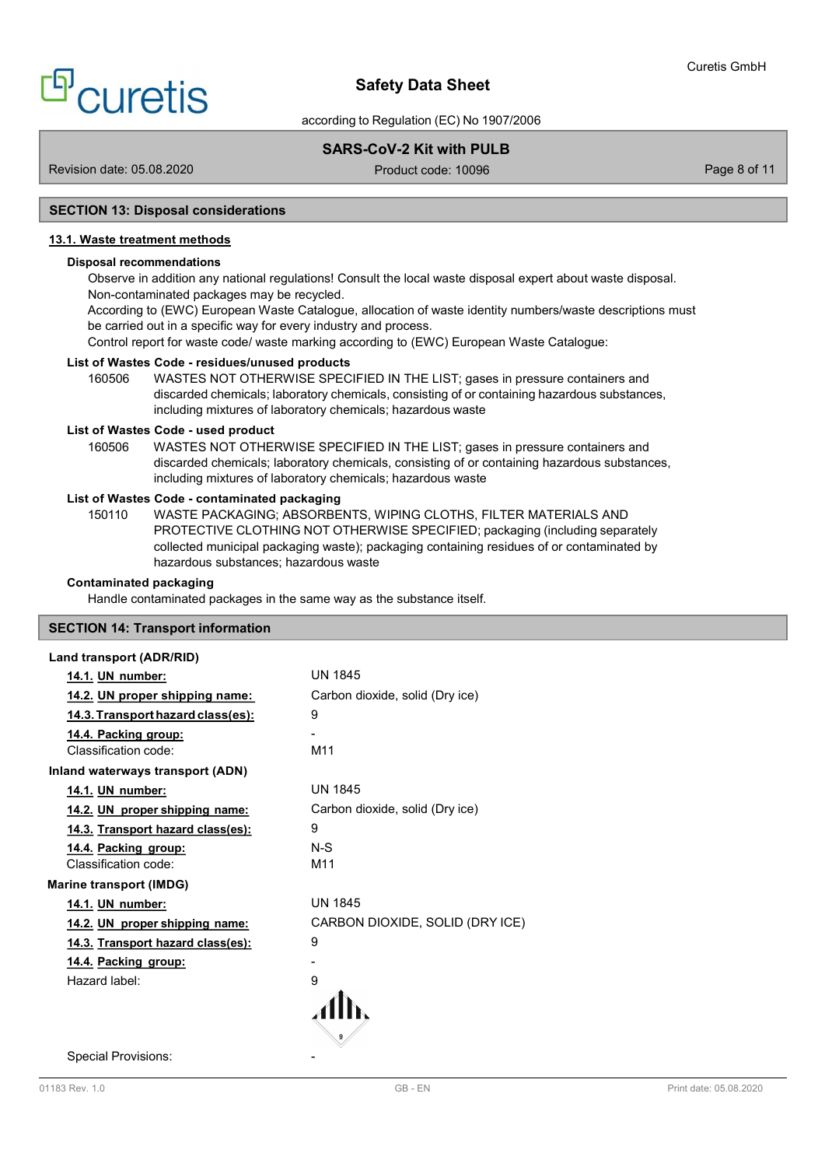according to Regulation (EC) No 1907/2006

# SARS-CoV-2 Kit with PULB

Revision date: 05.08.2020 **Product code: 10096** Page 8 of 11

## SECTION 13: Disposal considerations

# 13.1. Waste treatment methods

## Disposal recommendations

Observe in addition any national regulations! Consult the local waste disposal expert about waste disposal. Non-contaminated packages may be recycled.

According to (EWC) European Waste Catalogue, allocation of waste identity numbers/waste descriptions must be carried out in a specific way for every industry and process.

Control report for waste code/ waste marking according to (EWC) European Waste Catalogue:

## List of Wastes Code - residues/unused products

160506 WASTES NOT OTHERWISE SPECIFIED IN THE LIST; gases in pressure containers and discarded chemicals; laboratory chemicals, consisting of or containing hazardous substances, including mixtures of laboratory chemicals; hazardous waste

## List of Wastes Code - used product

160506 WASTES NOT OTHERWISE SPECIFIED IN THE LIST; gases in pressure containers and discarded chemicals; laboratory chemicals, consisting of or containing hazardous substances, including mixtures of laboratory chemicals; hazardous waste

## List of Wastes Code - contaminated packaging

150110 WASTE PACKAGING; ABSORBENTS, WIPING CLOTHS, FILTER MATERIALS AND PROTECTIVE CLOTHING NOT OTHERWISE SPECIFIED; packaging (including separately collected municipal packaging waste); packaging containing residues of or contaminated by hazardous substances; hazardous waste

## Contaminated packaging

Handle contaminated packages in the same way as the substance itself.

# SECTION 14: Transport information

#### Land transport (ADR/RID)

| 14.1. UN number:                         | <b>UN 1845</b>                  |
|------------------------------------------|---------------------------------|
| 14.2. UN proper shipping name:           | Carbon dioxide, solid (Dry ice) |
| <u>14.3. Transport hazard class(es):</u> | 9                               |
| 14.4. Packing group:                     |                                 |
| Classification code:                     | M11                             |
| Inland waterways transport (ADN)         |                                 |
| 14.1. UN number:                         | <b>UN 1845</b>                  |
| 14.2. UN proper shipping name:           | Carbon dioxide, solid (Dry ice) |
| 14.3. Transport hazard class(es):        | 9                               |
| 14.4. Packing group:                     | $N-S$                           |
| Classification code:                     | M11                             |
| <b>Marine transport (IMDG)</b>           |                                 |
| 14.1. UN number:                         | <b>UN 1845</b>                  |
| 14.2. UN proper shipping name:           | CARBON DIOXIDE, SOLID (DRY ICE) |
| 14.3. Transport hazard class(es):        | 9                               |
| 14.4. Packing group:                     |                                 |
| Hazard label:                            | 9                               |
|                                          |                                 |
|                                          |                                 |

Special Provisions: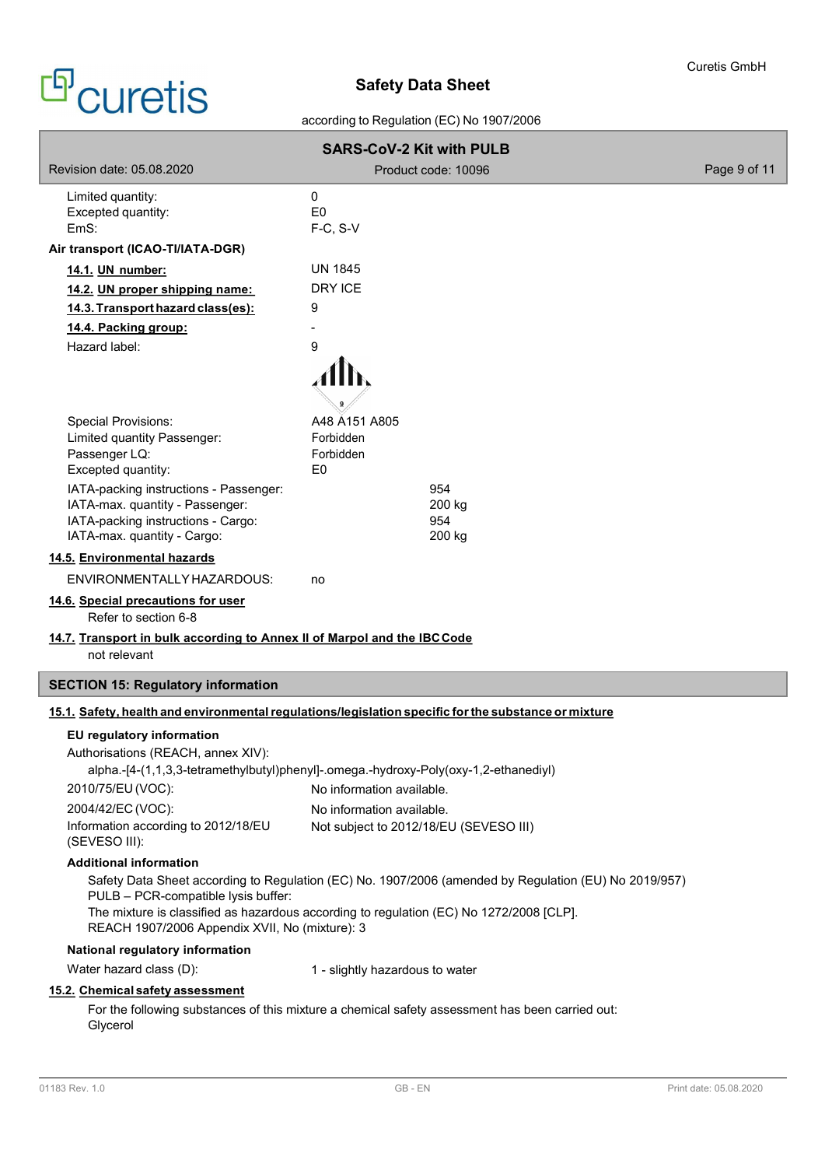according to Regulation (EC) No 1907/2006

| <b>SARS-CoV-2 Kit with PULB</b>                                                          |                                                                                                       |              |
|------------------------------------------------------------------------------------------|-------------------------------------------------------------------------------------------------------|--------------|
| Revision date: 05.08.2020                                                                | Product code: 10096                                                                                   | Page 9 of 11 |
| Limited quantity:<br>Excepted quantity:                                                  | 0<br>E <sub>0</sub>                                                                                   |              |
| EmS:                                                                                     | F-C, S-V                                                                                              |              |
| Air transport (ICAO-TI/IATA-DGR)                                                         |                                                                                                       |              |
| 14.1. UN number:                                                                         | UN 1845                                                                                               |              |
| 14.2. UN proper shipping name:                                                           | <b>DRY ICE</b>                                                                                        |              |
| 14.3. Transport hazard class(es):                                                        | 9                                                                                                     |              |
| 14.4. Packing group:                                                                     |                                                                                                       |              |
| Hazard label:                                                                            | 9                                                                                                     |              |
| <b>Special Provisions:</b>                                                               | A48 A151 A805                                                                                         |              |
| Limited quantity Passenger:                                                              | Forbidden                                                                                             |              |
| Passenger LQ:<br>Excepted quantity:                                                      | Forbidden<br>E <sub>0</sub>                                                                           |              |
| IATA-packing instructions - Passenger:                                                   | 954                                                                                                   |              |
| IATA-max. quantity - Passenger:                                                          | 200 kg                                                                                                |              |
| IATA-packing instructions - Cargo:                                                       | 954                                                                                                   |              |
| IATA-max. quantity - Cargo:                                                              | 200 kg                                                                                                |              |
| 14.5. Environmental hazards                                                              |                                                                                                       |              |
| ENVIRONMENTALLY HAZARDOUS:                                                               | no                                                                                                    |              |
| 14.6. Special precautions for user<br>Refer to section 6-8                               |                                                                                                       |              |
| 14.7. Transport in bulk according to Annex II of Marpol and the IBC Code<br>not relevant |                                                                                                       |              |
| <b>SECTION 15: Regulatory information</b>                                                |                                                                                                       |              |
|                                                                                          | 15.1. Safety, health and environmental regulations/legislation specific for the substance or mixture  |              |
| EU regulatory information                                                                |                                                                                                       |              |
| Authorisations (REACH, annex XIV):                                                       |                                                                                                       |              |
|                                                                                          | alpha.-[4-(1,1,3,3-tetramethylbutyl)phenyl]-.omega.-hydroxy-Poly(oxy-1,2-ethanediyl)                  |              |
| 2010/75/EU (VOC):                                                                        | No information available.                                                                             |              |
| 2004/42/EC (VOC):                                                                        | No information available.                                                                             |              |
| Information according to 2012/18/EU<br>(SEVESO III):                                     | Not subject to 2012/18/EU (SEVESO III)                                                                |              |
| <b>Additional information</b>                                                            |                                                                                                       |              |
|                                                                                          | Safety Data Sheet according to Regulation (EC) No. 1907/2006 (amended by Regulation (EU) No 2019/957) |              |
| PULB - PCR-compatible lysis buffer:                                                      | The mixture is classified as hazardous according to regulation (EC) No 1272/2008 [CLP].               |              |
| REACH 1907/2006 Appendix XVII, No (mixture): 3                                           |                                                                                                       |              |
| National regulatory information                                                          |                                                                                                       |              |
| Water hazard class (D):                                                                  | 1 - slightly hazardous to water                                                                       |              |
| 15.2. Chemical safety assessment                                                         |                                                                                                       |              |
| Glycerol                                                                                 | For the following substances of this mixture a chemical safety assessment has been carried out:       |              |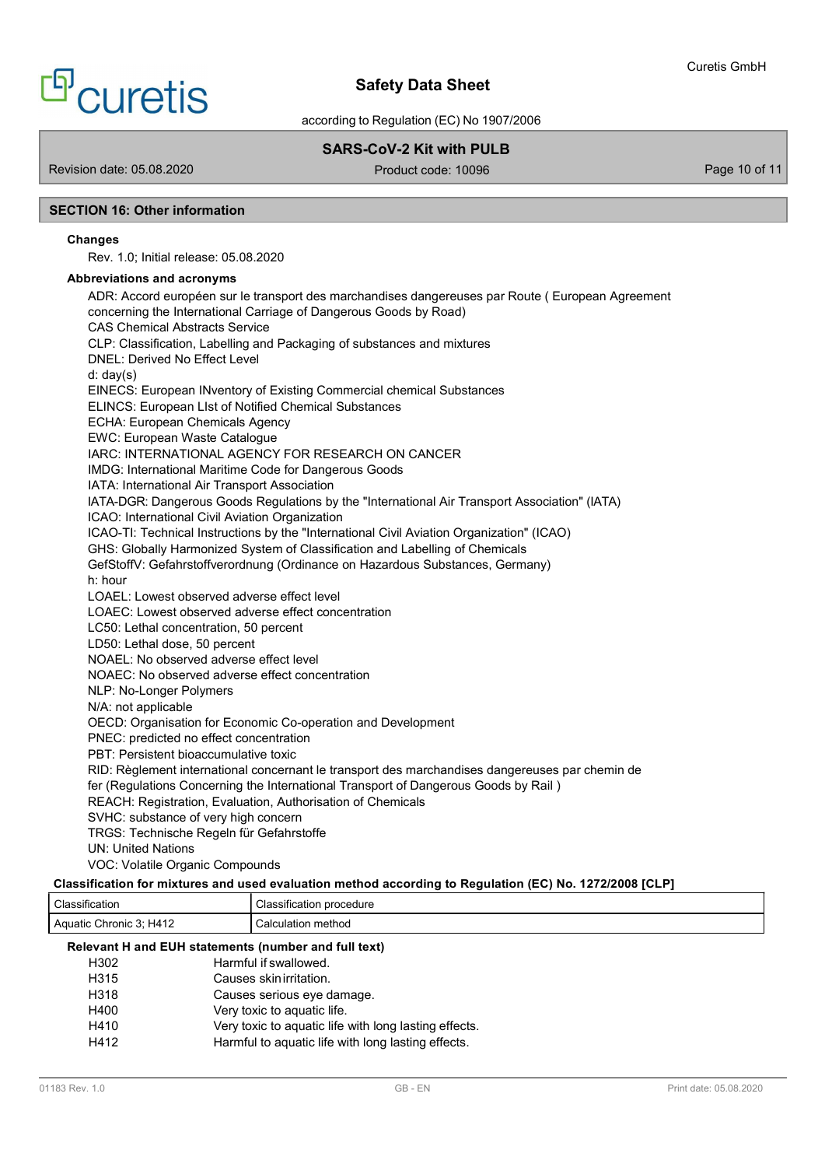# <sup>9</sup> curetis

# Safety Data Sheet

according to Regulation (EC) No 1907/2006

# SARS-CoV-2 Kit with PULB

Revision date: 05.08.2020 **Product code: 10096** Product code: 10096 Page 10 of 11

## SECTION 16: Other information

## Changes

Rev. 1.0; Initial release: 05.08.2020

## Abbreviations and acronyms

ADR: Accord européen sur le transport des marchandises dangereuses par Route ( European Agreement concerning the International Carriage of Dangerous Goods by Road) CAS Chemical Abstracts Service CLP: Classification, Labelling and Packaging of substances and mixtures DNEL: Derived No Effect Level d: day(s) EINECS: European INventory of Existing Commercial chemical Substances ELINCS: European LIst of Notified Chemical Substances ECHA: European Chemicals Agency EWC: European Waste Catalogue IARC: INTERNATIONAL AGENCY FOR RESEARCH ON CANCER IMDG: International Maritime Code for Dangerous Goods IATA: International Air Transport Association IATA-DGR: Dangerous Goods Regulations by the "International Air Transport Association" (IATA) ICAO: International Civil Aviation Organization ICAO-TI: Technical Instructions by the "International Civil Aviation Organization" (ICAO) GHS: Globally Harmonized System of Classification and Labelling of Chemicals GefStoffV: Gefahrstoffverordnung (Ordinance on Hazardous Substances, Germany) h: hour LOAEL: Lowest observed adverse effect level LOAEC: Lowest observed adverse effect concentration LC50: Lethal concentration, 50 percent LD50: Lethal dose, 50 percent NOAEL: No observed adverse effect level NOAEC: No observed adverse effect concentration NLP: No-Longer Polymers N/A: not applicable OECD: Organisation for Economic Co-operation and Development PNEC: predicted no effect concentration PBT: Persistent bioaccumulative toxic RID: Règlement international concernant le transport des marchandises dangereuses par chemin de fer (Regulations Concerning the International Transport of Dangerous Goods by Rail ) REACH: Registration, Evaluation, Authorisation of Chemicals SVHC: substance of very high concern TRGS: Technische Regeln für Gefahrstoffe UN: United Nations VOC: Volatile Organic Compounds

# Classification for mixtures and used evaluation method according to Regulation (EC) No. 1272/2008 [CLP]

| Classification                                       | Classification procedure                              |  |
|------------------------------------------------------|-------------------------------------------------------|--|
| Aquatic Chronic 3; H412                              | Calculation method                                    |  |
| Relevant H and EUH statements (number and full text) |                                                       |  |
| H302                                                 | Harmful if swallowed.                                 |  |
| H315                                                 | Causes skin irritation.                               |  |
| H318                                                 | Causes serious eye damage.                            |  |
| H400                                                 | Very toxic to aquatic life.                           |  |
| H410                                                 | Very toxic to aquatic life with long lasting effects. |  |
| H412                                                 | Harmful to aquatic life with long lasting effects.    |  |